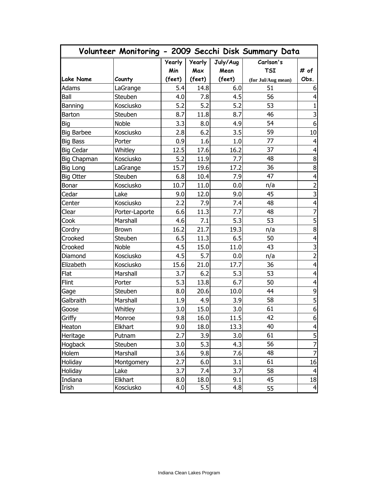|                   |                |        |        |          | Volunteer Monitoring - 2009 Secchi Disk Summary Data |                         |
|-------------------|----------------|--------|--------|----------|------------------------------------------------------|-------------------------|
|                   |                | Yearly | Yearly | July/Aug | Carlson's                                            |                         |
|                   |                | Min    | Max    | Mean     | <b>TSI</b>                                           | # of                    |
| <b>Lake Name</b>  | County         | (feet) | (feet) | (feet)   | (for Jul/Aug mean)                                   | Obs.                    |
| Adams             | LaGrange       | 5.4    | 14.8   | 6.0      | 51                                                   | 6                       |
| Ball              | Steuben        | 4.0    | 7.8    | 4.5      | 56                                                   | $\overline{\mathbf{4}}$ |
| Banning           | Kosciusko      | 5.2    | 5.2    | 5.2      | 53                                                   | $\mathbf{1}$            |
| <b>Barton</b>     | Steuben        | 8.7    | 11.8   | 8.7      | 46                                                   | 3                       |
| Big               | <b>Noble</b>   | 3.3    | 8.0    | 4.9      | 54                                                   | $\boldsymbol{6}$        |
| <b>Big Barbee</b> | Kosciusko      | 2.8    | 6.2    | 3.5      | 59                                                   | 10                      |
| <b>Big Bass</b>   | Porter         | 0.9    | 1.6    | 1.0      | 77                                                   | $\overline{4}$          |
| <b>Big Cedar</b>  | Whitley        | 12.5   | 17.6   | 16.2     | 37                                                   | $\overline{\mathbf{4}}$ |
| Big Chapman       | Kosciusko      | 5.2    | 11.9   | 7.7      | 48                                                   | $\bf 8$                 |
| Big Long          | LaGrange       | 15.7   | 19.6   | 17.2     | 36                                                   | $\bf 8$                 |
| <b>Big Otter</b>  | Steuben        | 6.8    | 10.4   | 7.9      | 47                                                   | $\overline{\mathbf{4}}$ |
| Bonar             | Kosciusko      | 10.7   | 11.0   | 0.0      | n/a                                                  | $\overline{2}$          |
| Cedar             | Lake           | 9.0    | 12.0   | 9.0      | 45                                                   | 3                       |
| Center            | Kosciusko      | 2.2    | 7.9    | 7.4      | 48                                                   | $\overline{\mathbf{4}}$ |
| Clear             | Porter-Laporte | 6.6    | 11.3   | 7.7      | 48                                                   | $\overline{7}$          |
| Cook              | Marshall       | 4.6    | 7.1    | 5.3      | 53                                                   | 5                       |
| Cordry            | <b>Brown</b>   | 16.2   | 21.7   | 19.3     | n/a                                                  | $\bf 8$                 |
| Crooked           | Steuben        | 6.5    | 11.3   | 6.5      | 50                                                   | $\overline{4}$          |
| Crooked           | <b>Noble</b>   | 4.5    | 15.0   | 11.0     | 43                                                   | 3                       |
| Diamond           | Kosciusko      | 4.5    | 5.7    | 0.0      | n/a                                                  | $\overline{2}$          |
| Elizabeth         | Kosciusko      | 15.6   | 21.0   | 17.7     | 36                                                   | $\overline{\mathbf{4}}$ |
| Flat              | Marshall       | 3.7    | 6.2    | 5.3      | 53                                                   | $\overline{\mathbf{r}}$ |
| Flint             | Porter         | 5.3    | 13.8   | 6.7      | 50                                                   | $\overline{4}$          |
| Gage              | Steuben        | 8.0    | 20.6   | 10.0     | 44                                                   | $\mathsf 9$             |
| Galbraith         | Marshall       | 1.9    | 4.9    | 3.9      | 58                                                   | $\overline{5}$          |
| Goose             | Whitley        | 3.0    | 15.0   | 3.0      | 61                                                   | $\boldsymbol{6}$        |
| Griffy            | Monroe         | 9.8    | 16.0   | 11.5     | 42                                                   | $6 \mid$                |
| Heaton            | Elkhart        | 9.0    | 18.0   | 13.3     | 40                                                   | $\overline{\mathbf{r}}$ |
| Heritage          | Putnam         | 2.7    | 3.9    | 3.0      | 61                                                   | 5                       |
| <b>Hogback</b>    | Steuben        | 3.0    | 5.3    | 4.3      | 56                                                   | $\overline{7}$          |
| Holem             | Marshall       | 3.6    | 9.8    | 7.6      | 48                                                   | $\overline{7}$          |
| Holiday           | Montgomery     | 2.7    | 6.0    | 3.1      | 61                                                   | 16                      |
| Holiday           | Lake           | 3.7    | 7.4    | 3.7      | 58                                                   | 4                       |
| Indiana           | Elkhart        | 8.0    | 18.0   | 9.1      | 45                                                   | 18                      |
| Irish             | Kosciusko      | 4.0    | 5.5    | 4.8      | 55                                                   | $\overline{4}$          |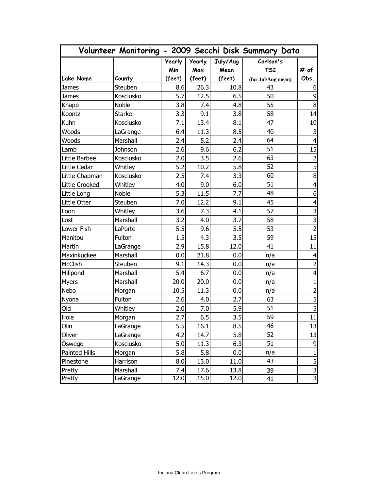|                  |               |               |               |          | Volunteer Monitoring - 2009 Secchi Disk Summary Data |                         |
|------------------|---------------|---------------|---------------|----------|------------------------------------------------------|-------------------------|
|                  |               | <b>Yearly</b> | <b>Yearly</b> | July/Aug | Carlson's                                            |                         |
|                  |               | Min           | Max           | Mean     | <b>TSI</b>                                           | # of                    |
| <b>Lake Name</b> | County        | (feet)        | (feet)        | (feet)   | (for Jul/Aug mean)                                   | Obs.                    |
| James            | Steuben       | 8.6           | 26.3          | 10.8     | 43                                                   | 6                       |
| James            | Kosciusko     | 5.7           | 12.5          | 6.5      | 50                                                   | $\mathsf 9$             |
| Knapp            | <b>Noble</b>  | 3.8           | 7.4           | 4.8      | 55                                                   | $\bf 8$                 |
| Koontz           | <b>Starke</b> | 3.3           | 9.1           | 3.8      | 58                                                   | 14                      |
| Kuhn             | Kosciusko     | 7.1           | 13.4          | 8.1      | 47                                                   | 10                      |
| Woods            | LaGrange      | 6.4           | 11.3          | 8.5      | 46                                                   | $\mathsf{3}$            |
| Woods            | Marshall      | 2.4           | 5.2           | 2.4      | 64                                                   | $\overline{4}$          |
| Lamb             | Johnson       | 2.6           | 9.6           | 6.2      | 51                                                   | 15                      |
| Little Barbee    | Kosciusko     | 2.0           | 3.5           | 2.6      | 63                                                   | $\overline{2}$          |
| Little Cedar     | Whitley       | 5.2           | 10.2          | 5.8      | 52                                                   | 5                       |
| Little Chapman   | Kosciusko     | 2.5           | 7.4           | 3.3      | 60                                                   | $\bf 8$                 |
| Little Crooked   | Whitley       | 4.0           | 9.0           | 6.0      | 51                                                   | $\overline{4}$          |
| Little Long      | <b>Noble</b>  | 5.3           | 11.5          | 7.7      | 48                                                   | $\boldsymbol{6}$        |
| Little Otter     | Steuben       | 7.0           | 12.2          | 9.1      | 45                                                   | $\overline{\mathbf{4}}$ |
| Loon             | Whitley       | 3.6           | 7.3           | 4.1      | 57                                                   | 3                       |
| Lost             | Marshall      | 3.2           | 4.0           | 3.7      | 58                                                   | سا                      |
| Lower Fish       | LaPorte       | 5.5           | 9.6           | 5.5      | 53                                                   | $\overline{2}$          |
| Manitou          | Fulton        | 1.5           | 4.3           | 3.5      | 59                                                   | 15                      |
| Martin           | LaGrange      | 2.9           | 15.8          | 12.0     | 41                                                   | 11                      |
| Maxinkuckee      | Marshall      | 0.0           | 21.8          | 0.0      | n/a                                                  | $\overline{\mathbf{4}}$ |
| McClish          | Steuben       | 9.1           | 14.3          | 0.0      | n/a                                                  | $\overline{2}$          |
| Millpond         | Marshall      | 5.4           | 6.7           | 0.0      | n/a                                                  | $\overline{\mathbf{4}}$ |
| <b>Myers</b>     | Marshall      | 20.0          | 20.0          | 0.0      | n/a                                                  | $\mathbf{1}$            |
| Nebo             | Morgan        | 10.5          | 11.3          | 0.0      | n/a                                                  | $\overline{2}$          |
| Nyona            | Fulton        | 2.6           | 4.0           | 2.7      | 63                                                   | $\overline{5}$          |
| Old              | Whitley       | 2.0           | 7.0           | 5.9      | 51                                                   | 5                       |
| Hole             | Morgan        | 2.7           | 6.5           | 3.5      | 59                                                   | 11                      |
| Olin             | LaGrange      | 5.5           | 16.1          | 8.5      | 46                                                   | 13                      |
| Oliver           | LaGrange      | 4.2           | 14.7          | 5.8      | 52                                                   | 13                      |
| Oswego           | Kosciusko     | 5.0           | 11.3          | 6.3      | 51                                                   | 9                       |
| Painted Hills    | Morgan        | 5.8           | 5.8           | 0.0      | n/a                                                  | $\mathbf{1}$            |
| Pinestone        | Harrison      | 8.0           | 13.0          | 11.0     | 43                                                   | 5                       |
| Pretty           | Marshall      | 7.4           | 17.6          | 13.8     | 39                                                   |                         |
| Pretty           | LaGrange      | 12.0          | 15.0          | 12.0     | 41                                                   | دی <mark>د</mark> ی     |